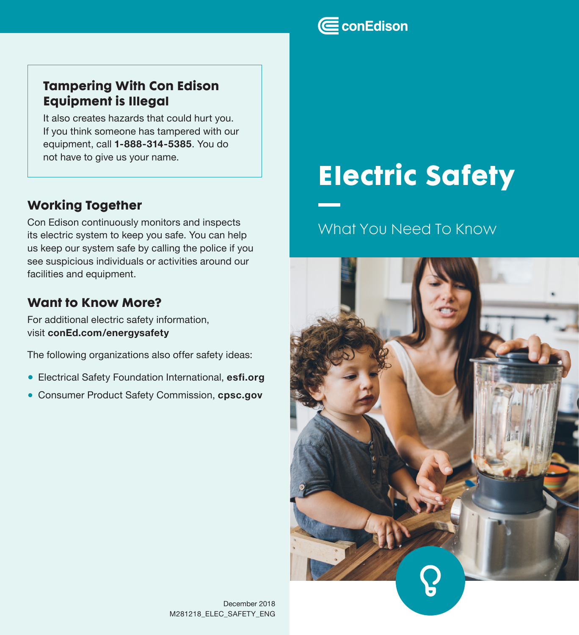## Tampering With Con Edison Equipment is Illegal

It also creates hazards that could hurt you. If you think someone has tampered with our equipment, call **1-888-314-5385**. You do not have to give us your name.

## Working Together

Con Edison continuously monitors and inspects its electric system to keep you safe. You can help us keep our system safe by calling the police if you see suspicious individuals or activities around our facilities and equipment.

## Want to Know More?

For additional electric safety information, visit **conEd.com/energysafety**

The following organizations also offer safety ideas:

- Electrical Safety Foundation International, **esfi.org**
- Consumer Product Safety Commission, **cpsc.gov**

# Electric Safety

# What You Need To Know